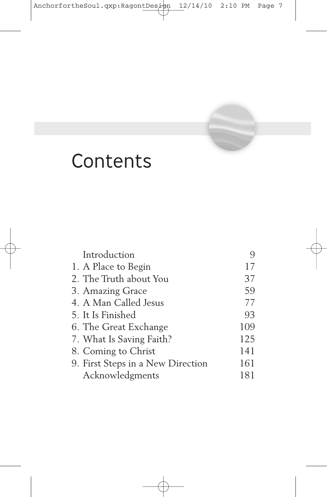

# **Contents**

| Introduction                      |     |
|-----------------------------------|-----|
| 1. A Place to Begin               | 17  |
| 2. The Truth about You            | 37  |
| 3. Amazing Grace                  | 59  |
| 4. A Man Called Jesus             | 77  |
| 5. It Is Finished                 | 93  |
| 6. The Great Exchange             | 109 |
| 7. What Is Saving Faith?          | 125 |
| 8. Coming to Christ               | 141 |
| 9. First Steps in a New Direction | 161 |
| Acknowledgments                   | 181 |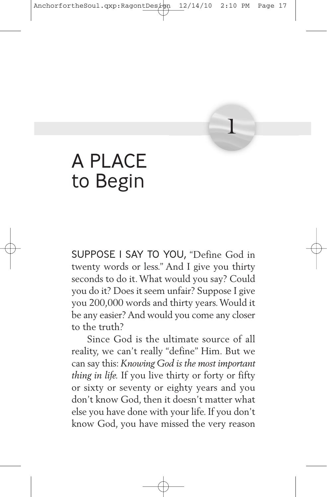# A PLACE to Begin

SUPPOSE I SAY TO YOU, "Define God in twenty words or less." And I give you thirty seconds to do it.What would you say? Could you do it? Does it seem unfair? Suppose I give you 200,000 words and thirty years.Would it be any easier? And would you come any closer to the truth?

**1**

Since God is the ultimate source of all reality, we can't really "define" Him. But we can say this: *Knowing God is the most important thing in life.* If you live thirty or forty or fifty or sixty or seventy or eighty years and you don't know God, then it doesn't matter what else you have done with your life. If you don't know God, you have missed the very reason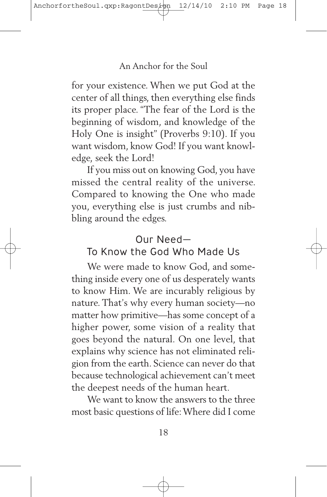for your existence. When we put God at the center of all things, then everything else finds its proper place. "The fear of the Lord is the beginning of wisdom, and knowledge of the Holy One is insight" (Proverbs 9:10). If you want wisdom, know God! If you want knowledge, seek the Lord!

If you miss out on knowing God, you have missed the central reality of the universe. Compared to knowing the One who made you, everything else is just crumbs and nibbling around the edges.

## Our Need—

## To Know the God Who Made Us

We were made to know God, and something inside every one of us desperately wants to know Him. We are incurably religious by nature. That's why every human society—no matter how primitive—has some concept of a higher power, some vision of a reality that goes beyond the natural. On one level, that explains why science has not eliminated religion from the earth. Science can never do that because technological achievement can't meet the deepest needs of the human heart.

We want to know the answers to the three most basic questions of life:Where did I come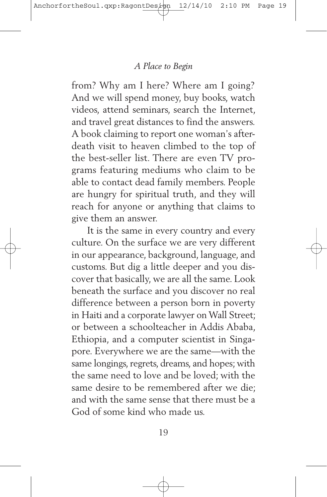from? Why am I here? Where am I going? And we will spend money, buy books, watch videos, attend seminars, search the Internet, and travel great distances to find the answers. A book claiming to report one woman's afterdeath visit to heaven climbed to the top of the best-seller list. There are even TV programs featuring mediums who claim to be able to contact dead family members. People are hungry for spiritual truth, and they will reach for anyone or anything that claims to give them an answer.

It is the same in every country and every culture. On the surface we are very different in our appearance, background, language, and customs. But dig a little deeper and you discover that basically, we are all the same. Look beneath the surface and you discover no real difference between a person born in poverty in Haiti and a corporate lawyer on Wall Street; or between a schoolteacher in Addis Ababa, Ethiopia, and a computer scientist in Singapore. Everywhere we are the same—with the same longings, regrets, dreams, and hopes; with the same need to love and be loved; with the same desire to be remembered after we die; and with the same sense that there must be a God of some kind who made us.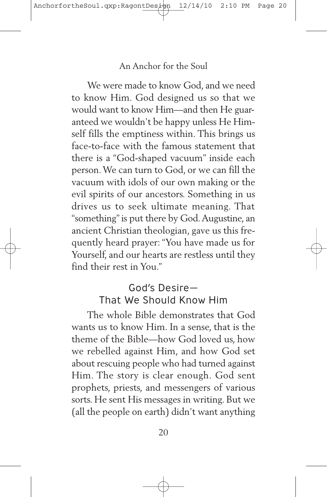We were made to know God, and we need to know Him. God designed us so that we would want to know Him—and then He guaranteed we wouldn't be happy unless He Himself fills the emptiness within. This brings us face-to-face with the famous statement that there is a "God-shaped vacuum" inside each person.We can turn to God, or we can fill the vacuum with idols of our own making or the evil spirits of our ancestors. Something in us drives us to seek ultimate meaning. That "something"is put there by God.Augustine, an ancient Christian theologian, gave us this frequently heard prayer:"You have made us for Yourself, and our hearts are restless until they find their rest in You."

## God's Desire— That We Should Know Him

The whole Bible demonstrates that God wants us to know Him. In a sense, that is the theme of the Bible—how God loved us, how we rebelled against Him, and how God set about rescuing people who had turned against Him. The story is clear enough. God sent prophets, priests, and messengers of various sorts. He sent His messages in writing. But we (all the people on earth) didn't want anything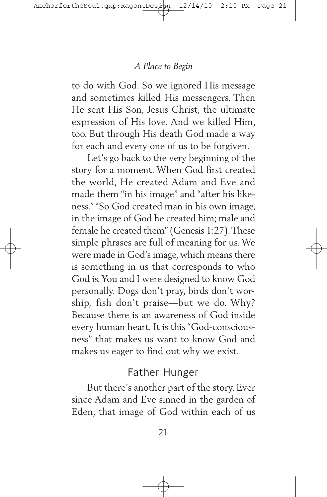to do with God. So we ignored His message and sometimes killed His messengers. Then He sent His Son, Jesus Christ, the ultimate expression of His love. And we killed Him, too. But through His death God made a way for each and every one of us to be forgiven.

Let's go back to the very beginning of the story for a moment. When God first created the world, He created Adam and Eve and made them "in his image" and "after his likeness." "So God created man in his own image, in the image of God he created him; male and female he created them"(Genesis 1:27).These simple phrases are full of meaning for us.We were made in God's image, which means there is something in us that corresponds to who God is.You and I were designed to know God personally. Dogs don't pray, birds don't worship, fish don't praise—but we do. Why? Because there is an awareness of God inside every human heart. It is this "God-consciousness" that makes us want to know God and makes us eager to find out why we exist.

## Father Hunger

But there's another part of the story. Ever since Adam and Eve sinned in the garden of Eden, that image of God within each of us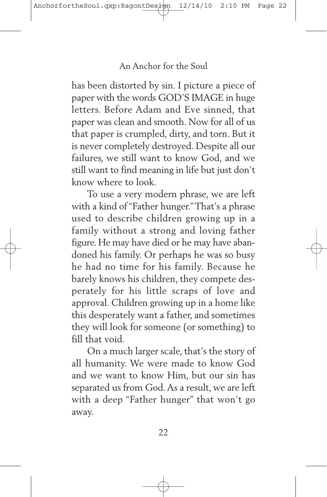has been distorted by sin. I picture a piece of paper with the words GOD'S IMAGE in huge letters. Before Adam and Eve sinned, that paper was clean and smooth. Now for all of us that paper is crumpled, dirty, and torn. But it is never completely destroyed. Despite all our failures, we still want to know God, and we still want to find meaning in life but just don't know where to look.

To use a very modern phrase, we are left with a kind of"Father hunger."That's a phrase used to describe children growing up in a family without a strong and loving father figure. He may have died or he may have abandoned his family. Or perhaps he was so busy he had no time for his family. Because he barely knows his children, they compete desperately for his little scraps of love and approval. Children growing up in a home like this desperately want a father, and sometimes they will look for someone (or something) to fill that void.

On a much larger scale, that's the story of all humanity. We were made to know God and we want to know Him, but our sin has separated us from God.As a result, we are left with a deep "Father hunger" that won't go away.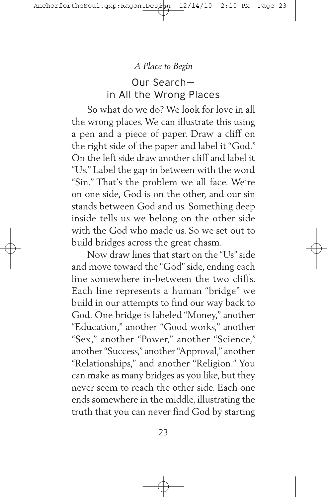Our Search in All the Wrong Places

So what do we do? We look for love in all the wrong places.We can illustrate this using a pen and a piece of paper. Draw a cliff on the right side of the paper and label it "God." On the left side draw another cliff and label it "Us." Label the gap in between with the word "Sin." That's the problem we all face. We're on one side, God is on the other, and our sin stands between God and us. Something deep inside tells us we belong on the other side with the God who made us. So we set out to build bridges across the great chasm.

Now draw lines that start on the "Us"side and move toward the "God"side, ending each line somewhere in-between the two cliffs. Each line represents a human "bridge" we build in our attempts to find our way back to God. One bridge is labeled "Money," another "Education," another "Good works," another "Sex," another "Power," another "Science," another"Success," another"Approval," another "Relationships," and another "Religion." You can make as many bridges as you like, but they never seem to reach the other side. Each one ends somewhere in the middle, illustrating the truth that you can never find God by starting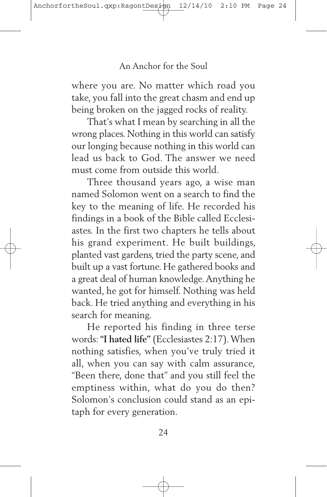where you are. No matter which road you take, you fall into the great chasm and end up being broken on the jagged rocks of reality.

That's what I mean by searching in all the wrong places. Nothing in this world can satisfy our longing because nothing in this world can lead us back to God. The answer we need must come from outside this world.

Three thousand years ago, a wise man named Solomon went on a search to find the key to the meaning of life. He recorded his findings in a book of the Bible called Ecclesiastes. In the first two chapters he tells about his grand experiment. He built buildings, planted vast gardens, tried the party scene, and built up a vast fortune. He gathered books and a great deal of human knowledge.Anything he wanted, he got for himself. Nothing was held back. He tried anything and everything in his search for meaning.

He reported his finding in three terse words:**"I hated life"** (Ecclesiastes 2:17).When nothing satisfies, when you've truly tried it all, when you can say with calm assurance, "Been there, done that" and you still feel the emptiness within, what do you do then? Solomon's conclusion could stand as an epitaph for every generation.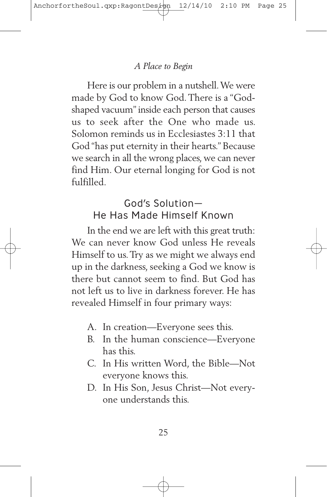Here is our problem in a nutshell.We were made by God to know God.There is a "Godshaped vacuum" inside each person that causes us to seek after the One who made us. Solomon reminds us in Ecclesiastes 3:11 that God "has put eternity in their hearts." Because we search in all the wrong places, we can never find Him. Our eternal longing for God is not fulfilled.

## God's Solution— He Has Made Himself Known

In the end we are left with this great truth: We can never know God unless He reveals Himself to us.Try as we might we always end up in the darkness, seeking a God we know is there but cannot seem to find. But God has not left us to live in darkness forever. He has revealed Himself in four primary ways:

- A. In creation—Everyone sees this.
- B. In the human conscience—Everyone has this.
- C. In His written Word, the Bible—Not everyone knows this.
- D. In His Son, Jesus Christ—Not everyone understands this.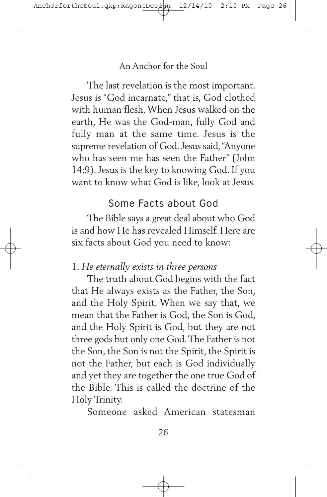The last revelation is the most important. Jesus is "God incarnate," that is, God clothed with human flesh.When Jesus walked on the earth, He was the God-man, fully God and fully man at the same time. Jesus is the supreme revelation of God. Jesus said, "Anyone who has seen me has seen the Father" (John 14:9).Jesus is the key to knowing God. If you want to know what God is like, look at Jesus.

## Some Facts about God

The Bible says a great deal about who God is and how He has revealed Himself. Here are six facts about God you need to know:

## 1. *He eternally exists in three persons*

The truth about God begins with the fact that He always exists as the Father, the Son, and the Holy Spirit. When we say that, we mean that the Father is God, the Son is God, and the Holy Spirit is God, but they are not three gods but only one God.The Father is not the Son, the Son is not the Spirit, the Spirit is not the Father, but each is God individually and yet they are together the one true God of the Bible. This is called the doctrine of the Holy Trinity.

Someone asked American statesman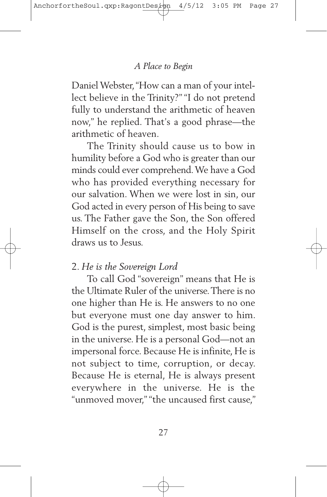Daniel Webster, "How can a man of your intellect believe in the Trinity?" "I do not pretend fully to understand the arithmetic of heaven now," he replied. That's a good phrase—the arithmetic of heaven.

The Trinity should cause us to bow in humility before a God who is greater than our minds could ever comprehend.We have a God who has provided everything necessary for our salvation. When we were lost in sin, our God acted in every person of His being to save us. The Father gave the Son, the Son offered Himself on the cross, and the Holy Spirit draws us to Jesus.

## 2. *He is the Sovereign Lord*

To call God "sovereign" means that He is the Ultimate Ruler of the universe. There is no one higher than He is. He answers to no one but everyone must one day answer to him. God is the purest, simplest, most basic being in the universe. He is a personal God—not an impersonal force. Because He is infinite, He is not subject to time, corruption, or decay. Because He is eternal, He is always present everywhere in the universe. He is the "unmoved mover,""the uncaused first cause,"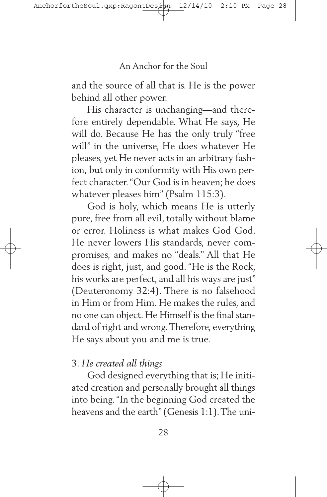and the source of all that is. He is the power behind all other power.

His character is unchanging—and therefore entirely dependable. What He says, He will do. Because He has the only truly "free will" in the universe, He does whatever He pleases, yet He never acts in an arbitrary fashion, but only in conformity with His own perfect character."Our God is in heaven; he does whatever pleases him" (Psalm 115:3).

God is holy, which means He is utterly pure, free from all evil, totally without blame or error. Holiness is what makes God God. He never lowers His standards, never compromises, and makes no "deals." All that He does is right, just, and good. "He is the Rock, his works are perfect, and all his ways are just" (Deuteronomy 32:4). There is no falsehood in Him or from Him. He makes the rules, and no one can object. He Himself is the final standard of right and wrong.Therefore, everything He says about you and me is true.

### 3. *He created all things*

God designed everything that is; He initiated creation and personally brought all things into being."In the beginning God created the heavens and the earth"(Genesis 1:1).The uni-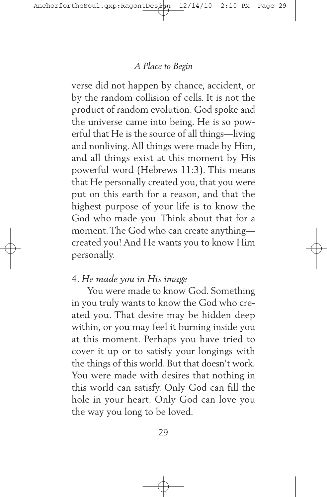verse did not happen by chance, accident, or by the random collision of cells. It is not the product of random evolution. God spoke and the universe came into being. He is so powerful that He is the source of all things—living and nonliving. All things were made by Him, and all things exist at this moment by His powerful word (Hebrews 11:3). This means that He personally created you, that you were put on this earth for a reason, and that the highest purpose of your life is to know the God who made you. Think about that for a moment.The God who can create anything created you! And He wants you to know Him personally.

## 4. *He made you in His image*

You were made to know God. Something in you truly wants to know the God who created you. That desire may be hidden deep within, or you may feel it burning inside you at this moment. Perhaps you have tried to cover it up or to satisfy your longings with the things of this world. But that doesn't work. You were made with desires that nothing in this world can satisfy. Only God can fill the hole in your heart. Only God can love you the way you long to be loved.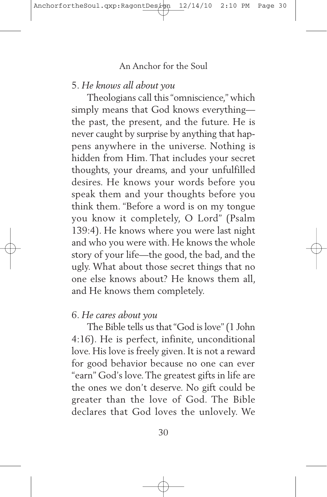### 5. *He knows all about you*

Theologians call this"omniscience," which simply means that God knows everything the past, the present, and the future. He is never caught by surprise by anything that happens anywhere in the universe. Nothing is hidden from Him. That includes your secret thoughts, your dreams, and your unfulfilled desires. He knows your words before you speak them and your thoughts before you think them. "Before a word is on my tongue you know it completely, O Lord" (Psalm 139:4). He knows where you were last night and who you were with. He knows the whole story of your life—the good, the bad, and the ugly. What about those secret things that no one else knows about? He knows them all, and He knows them completely.

#### 6. *He cares about you*

The Bible tells us that"God is love"(1 John 4:16). He is perfect, infinite, unconditional love. His love is freely given. It is not a reward for good behavior because no one can ever "earn" God's love.The greatest gifts in life are the ones we don't deserve. No gift could be greater than the love of God. The Bible declares that God loves the unlovely. We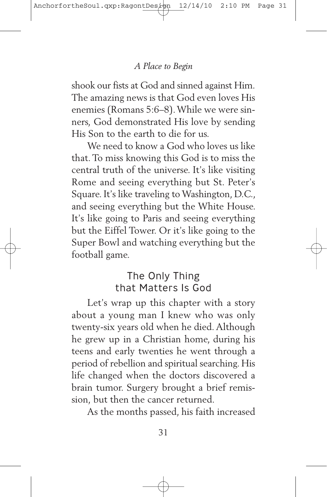shook our fists at God and sinned against Him. The amazing news is that God even loves His enemies (Romans 5:6–8).While we were sinners, God demonstrated His love by sending His Son to the earth to die for us.

We need to know a God who loves us like that.To miss knowing this God is to miss the central truth of the universe. It's like visiting Rome and seeing everything but St. Peter's Square. It's like traveling to Washington, D.C., and seeing everything but the White House. It's like going to Paris and seeing everything but the Eiffel Tower. Or it's like going to the Super Bowl and watching everything but the football game.

## The Only Thing that Matters Is God

Let's wrap up this chapter with a story about a young man I knew who was only twenty-six years old when he died. Although he grew up in a Christian home, during his teens and early twenties he went through a period of rebellion and spiritual searching. His life changed when the doctors discovered a brain tumor. Surgery brought a brief remission, but then the cancer returned.

As the months passed, his faith increased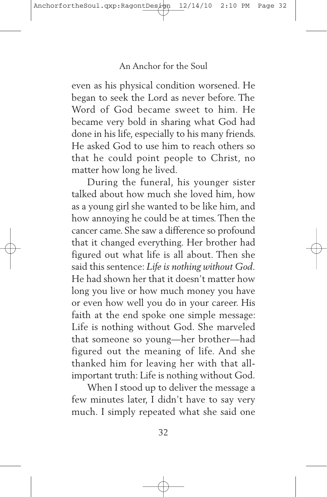even as his physical condition worsened. He began to seek the Lord as never before. The Word of God became sweet to him. He became very bold in sharing what God had done in his life, especially to his many friends. He asked God to use him to reach others so that he could point people to Christ, no matter how long he lived.

During the funeral, his younger sister talked about how much she loved him, how as a young girl she wanted to be like him, and how annoying he could be at times.Then the cancer came. She saw a difference so profound that it changed everything. Her brother had figured out what life is all about. Then she said this sentence: *Life is nothing without God.* He had shown her that it doesn't matter how long you live or how much money you have or even how well you do in your career. His faith at the end spoke one simple message: Life is nothing without God. She marveled that someone so young—her brother—had figured out the meaning of life. And she thanked him for leaving her with that allimportant truth: Life is nothing without God.

When I stood up to deliver the message a few minutes later, I didn't have to say very much. I simply repeated what she said one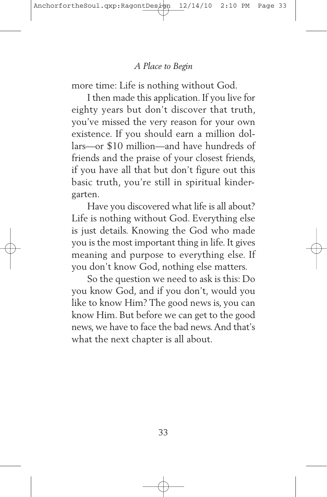more time: Life is nothing without God.

I then made this application. If you live for eighty years but don't discover that truth, you've missed the very reason for your own existence. If you should earn a million dollars—or \$10 million—and have hundreds of friends and the praise of your closest friends, if you have all that but don't figure out this basic truth, you're still in spiritual kindergarten.

Have you discovered what life is all about? Life is nothing without God. Everything else is just details. Knowing the God who made you is the most important thing in life. It gives meaning and purpose to everything else. If you don't know God, nothing else matters.

So the question we need to ask is this: Do you know God, and if you don't, would you like to know Him? The good news is, you can know Him. But before we can get to the good news, we have to face the bad news.And that's what the next chapter is all about.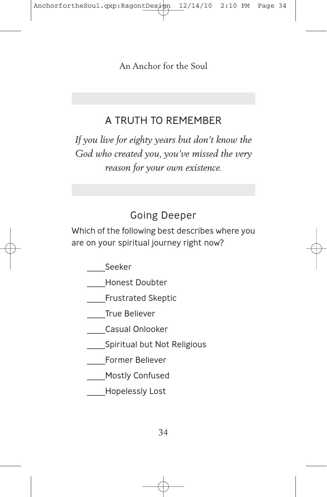## A TRUTH TO REMEMBER

*If you live for eighty years but don't know the God who created you, you've missed the very reason for your own existence.*

# Going Deeper

Which of the following best describes where you are on your spiritual journey right now?

\_\_\_\_Seeker

- \_\_\_\_Honest Doubter
- \_\_\_\_Frustrated Skeptic
- \_\_\_\_True Believer
	- \_\_\_\_Casual Onlooker
- **Spiritual but Not Religious**
- \_\_\_\_Former Believer
	- \_\_\_\_Mostly Confused
- \_\_\_\_Hopelessly Lost